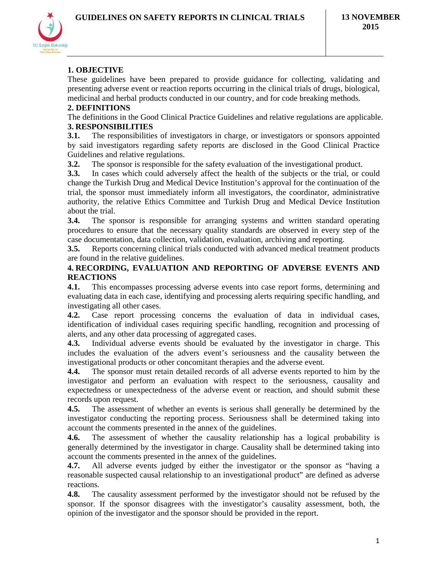

# **1. OBJECTIVE**

These guidelines have been prepared to provide guidance for collecting, validating and presenting adverse event or reaction reports occurring in the clinical trials of drugs, biological, medicinal and herbal products conducted in our country, and for code breaking methods.

### **2. DEFINITIONS**

The definitions in the Good Clinical Practice Guidelines and relative regulations are applicable. **3. RESPONSIBILITIES**

**3.1.** The responsibilities of investigators in charge, or investigators or sponsors appointed by said investigators regarding safety reports are disclosed in the Good Clinical Practice Guidelines and relative regulations.

**3.2.** The sponsor is responsible for the safety evaluation of the investigational product.

**3.3.** In cases which could adversely affect the health of the subjects or the trial, or could change the Turkish Drug and Medical Device Institution's approval for the continuation of the trial, the sponsor must immediately inform all investigators, the coordinator, administrative authority, the relative Ethics Committee and Turkish Drug and Medical Device Institution about the trial.

**3.4.** The sponsor is responsible for arranging systems and written standard operating procedures to ensure that the necessary quality standards are observed in every step of the case documentation, data collection, validation, evaluation, archiving and reporting.

**3.5.** Reports concerning clinical trials conducted with advanced medical treatment products are found in the relative guidelines.

### **4. RECORDING, EVALUATION AND REPORTING OF ADVERSE EVENTS AND REACTIONS**

**4.1.** This encompasses processing adverse events into case report forms, determining and evaluating data in each case, identifying and processing alerts requiring specific handling, and investigating all other cases.

**4.2.** Case report processing concerns the evaluation of data in individual cases, identification of individual cases requiring specific handling, recognition and processing of alerts, and any other data processing of aggregated cases.

**4.3.** Individual adverse events should be evaluated by the investigator in charge. This includes the evaluation of the advers event's seriousness and the causality between the investigational products or other concomitant therapies and the adverse event.

**4.4.** The sponsor must retain detailed records of all adverse events reported to him by the investigator and perform an evaluation with respect to the seriousness, causality and expectedness or unexpectedness of the adverse event or reaction, and should submit these records upon request.

**4.5.** The assessment of whether an events is serious shall generally be determined by the investigator conducting the reporting process. Seriousness shall be determined taking into account the comments presented in the annex of the guidelines.

**4.6.** The assessment of whether the causality relationship has a logical probability is generally determined by the investigator in charge. Causality shall be determined taking into account the comments presented in the annex of the guidelines.

**4.7.** All adverse events judged by either the investigator or the sponsor as "having a reasonable suspected causal relationship to an investigational product" are defined as adverse reactions.

**4.8.** The causality assessment performed by the investigator should not be refused by the sponsor. If the sponsor disagrees with the investigator's causality assessment, both, the opinion of the investigator and the sponsor should be provided in the report.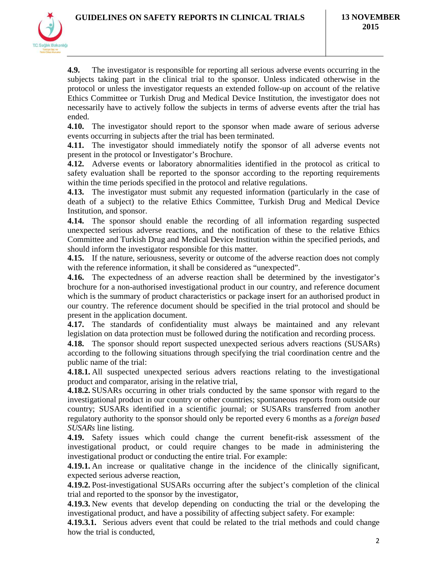

**4.9.** The investigator is responsible for reporting all serious adverse events occurring in the subjects taking part in the clinical trial to the sponsor. Unless indicated otherwise in the protocol or unless the investigator requests an extended follow-up on account of the relative Ethics Committee or Turkish Drug and Medical Device Institution, the investigator does not necessarily have to actively follow the subjects in terms of adverse events after the trial has ended.

**4.10.** The investigator should report to the sponsor when made aware of serious adverse events occurring in subjects after the trial has been terminated.

**4.11.** The investigator should immediately notify the sponsor of all adverse events not present in the protocol or Investigator's Brochure.

**4.12.** Adverse events or laboratory abnormalities identified in the protocol as critical to safety evaluation shall be reported to the sponsor according to the reporting requirements within the time periods specified in the protocol and relative regulations.

**4.13.** The investigator must submit any requested information (particularly in the case of death of a subject) to the relative Ethics Committee, Turkish Drug and Medical Device Institution, and sponsor.

**4.14.** The sponsor should enable the recording of all information regarding suspected unexpected serious adverse reactions, and the notification of these to the relative Ethics Committee and Turkish Drug and Medical Device Institution within the specified periods, and should inform the investigator responsible for this matter.

**4.15.** If the nature, seriousness, severity or outcome of the adverse reaction does not comply with the reference information, it shall be considered as "unexpected".

**4.16.** The expectedness of an adverse reaction shall be determined by the investigator's brochure for a non-authorised investigational product in our country, and reference document which is the summary of product characteristics or package insert for an authorised product in our country. The reference document should be specified in the trial protocol and should be present in the application document.

**4.17.** The standards of confidentiality must always be maintained and any relevant legislation on data protection must be followed during the notification and recording process.

**4.18.** The sponsor should report suspected unexpected serious advers reactions (SUSARs) according to the following situations through specifying the trial coordination centre and the public name of the trial:

**4.18.1.** All suspected unexpected serious advers reactions relating to the investigational product and comparator, arising in the relative trial,

**4.18.2.** SUSARs occurring in other trials conducted by the same sponsor with regard to the investigational product in our country or other countries; spontaneous reports from outside our country; SUSARs identified in a scientific journal; or SUSARs transferred from another regulatory authority to the sponsor should only be reported every 6 months as a *foreign based SUSARs* line listing.

**4.19.** Safety issues which could change the current benefit-risk assessment of the investigational product, or could require changes to be made in administering the investigational product or conducting the entire trial. For example:

**4.19.1.** An increase or qualitative change in the incidence of the clinically significant, expected serious adverse reaction,

**4.19.2.** Post-investigational SUSARs occurring after the subject's completion of the clinical trial and reported to the sponsor by the investigator,

**4.19.3.** New events that develop depending on conducting the trial or the developing the investigational product, and have a possibility of affecting subject safety. For example:

**4.19.3.1.** Serious advers event that could be related to the trial methods and could change how the trial is conducted,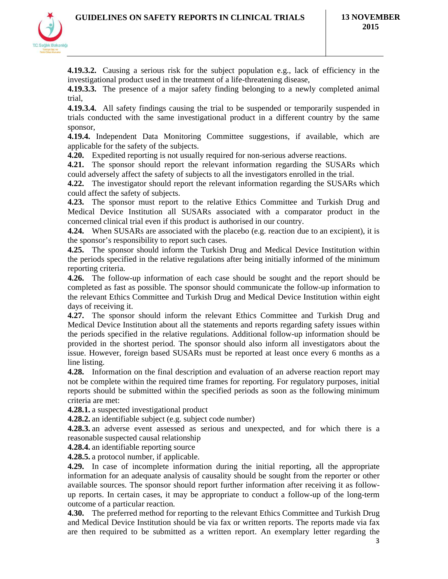

**4.19.3.2.** Causing a serious risk for the subject population e.g., lack of efficiency in the investigational product used in the treatment of a life-threatening disease,

**4.19.3.3.** The presence of a major safety finding belonging to a newly completed animal trial,

**4.19.3.4.** All safety findings causing the trial to be suspended or temporarily suspended in trials conducted with the same investigational product in a different country by the same sponsor,

**4.19.4.** Independent Data Monitoring Committee suggestions, if available, which are applicable for the safety of the subjects.

**4.20.** Expedited reporting is not usually required for non-serious adverse reactions.

**4.21.** The sponsor should report the relevant information regarding the SUSARs which could adversely affect the safety of subjects to all the investigators enrolled in the trial.

**4.22.** The investigator should report the relevant information regarding the SUSARs which could affect the safety of subjects.

**4.23.** The sponsor must report to the relative Ethics Committee and Turkish Drug and Medical Device Institution all SUSARs associated with a comparator product in the concerned clinical trial even if this product is authorised in our country.

**4.24.** When SUSARs are associated with the placebo (e.g. reaction due to an excipient), it is the sponsor's responsibility to report such cases.

**4.25.** The sponsor should inform the Turkish Drug and Medical Device Institution within the periods specified in the relative regulations after being initially informed of the minimum reporting criteria.

**4.26.** The follow-up information of each case should be sought and the report should be completed as fast as possible. The sponsor should communicate the follow-up information to the relevant Ethics Committee and Turkish Drug and Medical Device Institution within eight days of receiving it.

**4.27.** The sponsor should inform the relevant Ethics Committee and Turkish Drug and Medical Device Institution about all the statements and reports regarding safety issues within the periods specified in the relative regulations. Additional follow-up information should be provided in the shortest period. The sponsor should also inform all investigators about the issue. However, foreign based SUSARs must be reported at least once every 6 months as a line listing.

**4.28.** Information on the final description and evaluation of an adverse reaction report may not be complete within the required time frames for reporting. For regulatory purposes, initial reports should be submitted within the specified periods as soon as the following minimum criteria are met:

**4.28.1.** a suspected investigational product

**4.28.2.** an identifiable subject (e.g. subject code number)

**4.28.3.** an adverse event assessed as serious and unexpected, and for which there is a reasonable suspected causal relationship

**4.28.4.** an identifiable reporting source

**4.28.5.** a protocol number, if applicable.

**4.29.** In case of incomplete information during the initial reporting, all the appropriate information for an adequate analysis of causality should be sought from the reporter or other available sources. The sponsor should report further information after receiving it as followup reports. In certain cases, it may be appropriate to conduct a follow-up of the long-term outcome of a particular reaction.

**4.30.** The preferred method for reporting to the relevant Ethics Committee and Turkish Drug and Medical Device Institution should be via fax or written reports. The reports made via fax are then required to be submitted as a written report. An exemplary letter regarding the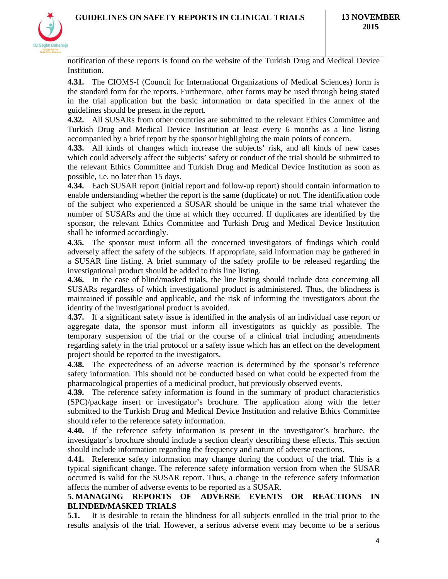

notification of these reports is found on the website of the Turkish Drug and Medical Device Institution.

**4.31.** The CIOMS-I (Council for International Organizations of Medical Sciences) form is the standard form for the reports. Furthermore, other forms may be used through being stated in the trial application but the basic information or data specified in the annex of the guidelines should be present in the report.

**4.32.** All SUSARs from other countries are submitted to the relevant Ethics Committee and Turkish Drug and Medical Device Institution at least every 6 months as a line listing accompanied by a brief report by the sponsor highlighting the main points of concern.

**4.33.** All kinds of changes which increase the subjects' risk, and all kinds of new cases which could adversely affect the subjects' safety or conduct of the trial should be submitted to the relevant Ethics Committee and Turkish Drug and Medical Device Institution as soon as possible, i.e. no later than 15 days.

**4.34.** Each SUSAR report (initial report and follow-up report) should contain information to enable understanding whether the report is the same (duplicate) or not. The identification code of the subject who experienced a SUSAR should be unique in the same trial whatever the number of SUSARs and the time at which they occurred. If duplicates are identified by the sponsor, the relevant Ethics Committee and Turkish Drug and Medical Device Institution shall be informed accordingly.

**4.35.** The sponsor must inform all the concerned investigators of findings which could adversely affect the safety of the subjects. If appropriate, said information may be gathered in a SUSAR line listing. A brief summary of the safety profile to be released regarding the investigational product should be added to this line listing.

**4.36.** In the case of blind/masked trials, the line listing should include data concerning all SUSARs regardless of which investigational product is administered. Thus, the blindness is maintained if possible and applicable, and the risk of informing the investigators about the identity of the investigational product is avoided.

**4.37.** If a significant safety issue is identified in the analysis of an individual case report or aggregate data, the sponsor must inform all investigators as quickly as possible. The temporary suspension of the trial or the course of a clinical trial including amendments regarding safety in the trial protocol or a safety issue which has an effect on the development project should be reported to the investigators.

**4.38.** The expectedness of an adverse reaction is determined by the sponsor's reference safety information. This should not be conducted based on what could be expected from the pharmacological properties of a medicinal product, but previously observed events.

**4.39.** The reference safety information is found in the summary of product characteristics (SPC)/package insert or investigator's brochure. The application along with the letter submitted to the Turkish Drug and Medical Device Institution and relative Ethics Committee should refer to the reference safety information.

**4.40.** If the reference safety information is present in the investigator's brochure, the investigator's brochure should include a section clearly describing these effects. This section should include information regarding the frequency and nature of adverse reactions.

**4.41.** Reference safety information may change during the conduct of the trial. This is a typical significant change. The reference safety information version from when the SUSAR occurred is valid for the SUSAR report. Thus, a change in the reference safety information affects the number of adverse events to be reported as a SUSAR.

### **5. MANAGING REPORTS OF ADVERSE EVENTS OR REACTIONS IN BLINDED/MASKED TRIALS**

**5.1.** It is desirable to retain the blindness for all subjects enrolled in the trial prior to the results analysis of the trial. However, a serious adverse event may become to be a serious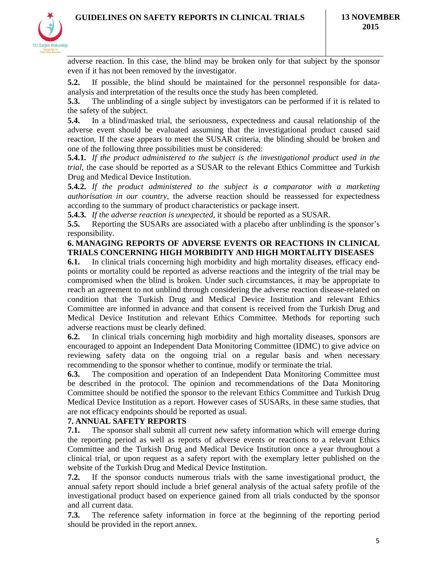

adverse reaction. In this case, the blind may be broken only for that subject by the sponsor even if it has not been removed by the investigator.

**5.2.** If possible, the blind should be maintained for the personnel responsible for dataanalysis and interpretation of the results once the study has been completed.

**5.3.** The unblinding of a single subject by investigators can be performed if it is related to the safety of the subject.

**5.4.** In a blind/masked trial, the seriousness, expectedness and causal relationship of the adverse event should be evaluated assuming that the investigational product caused said reaction. If the case appears to meet the SUSAR criteria, the blinding should be broken and one of the following three possibilities must be considered:

**5.4.1.** *If the product administered to the subject is the investigational product used in the trial*, the case should be reported as a SUSAR to the relevant Ethics Committee and Turkish Drug and Medical Device Institution.

**5.4.2.** *If the product administered to the subject is a comparator with a marketing authorisation in our country*, the adverse reaction should be reassessed for expectedness according to the summary of product characteristics or package insert.

**5.4.3.** *If the adverse reaction is unexpected*, it should be reported as a SUSAR.

**5.5.** Reporting the SUSARs are associated with a placebo after unblinding is the sponsor's responsibility.

#### **6. MANAGING REPORTS OF ADVERSE EVENTS OR REACTIONS IN CLINICAL TRIALS CONCERNING HIGH MORBIDITY AND HIGH MORTALITY DISEASES**

**6.1.** In clinical trials concerning high morbidity and high mortality diseases, efficacy endpoints or mortality could be reported as adverse reactions and the integrity of the trial may be compromised when the blind is broken. Under such circumstances, it may be appropriate to reach an agreement to not unblind through considering the adverse reaction disease-related on condition that the Turkish Drug and Medical Device Institution and relevant Ethics Committee are informed in advance and that consent is received from the Turkish Drug and Medical Device Institution and relevant Ethics Committee. Methods for reporting such adverse reactions must be clearly defined.

**6.2.** In clinical trials concerning high morbidity and high mortality diseases, sponsors are encouraged to appoint an Independent Data Monitoring Committee (IDMC) to give advice on reviewing safety data on the ongoing trial on a regular basis and when necessary recommending to the sponsor whether to continue, modify or terminate the trial.

**6.3.** The composition and operation of an Independent Data Monitoring Committee must be described in the protocol. The opinion and recommendations of the Data Monitoring Committee should be notified the sponsor to the relevant Ethics Committee and Turkish Drug Medical Device Institution as a report. However cases of SUSARs, in these same studies, that are not efficacy endpoints should be reported as usual.

# **7. ANNUAL SAFETY REPORTS**

**7.1.** The sponsor shall submit all current new safety information which will emerge during the reporting period as well as reports of adverse events or reactions to a relevant Ethics Committee and the Turkish Drug and Medical Device Institution once a year throughout a clinical trial, or upon request as a safety report with the exemplary letter published on the website of the Turkish Drug and Medical Device Institution.

**7.2.** If the sponsor conducts numerous trials with the same investigational product, the annual safety report should include a brief general analysis of the actual safety profile of the investigational product based on experience gained from all trials conducted by the sponsor and all current data.

**7.3.** The reference safety information in force at the beginning of the reporting period should be provided in the report annex.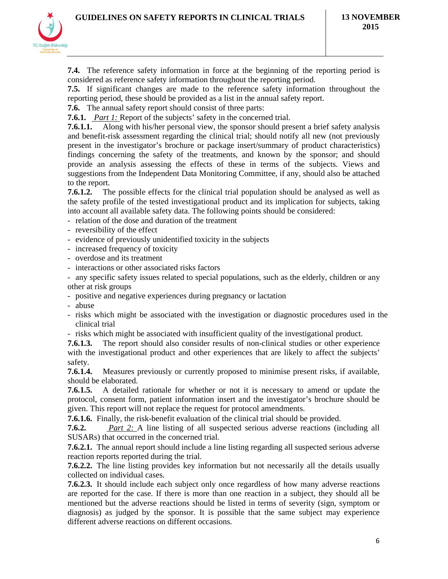

**7.4.** The reference safety information in force at the beginning of the reporting period is considered as reference safety information throughout the reporting period.

**7.5.** If significant changes are made to the reference safety information throughout the reporting period, these should be provided as a list in the annual safety report.

**7.6.** The annual safety report should consist of three parts:

**7.6.1.** *Part 1:* Report of the subjects' safety in the concerned trial.

**7.6.1.1.** Along with his/her personal view, the sponsor should present a brief safety analysis and benefit-risk assessment regarding the clinical trial; should notify all new (not previously present in the investigator's brochure or package insert/summary of product characteristics) findings concerning the safety of the treatments, and known by the sponsor; and should provide an analysis assessing the effects of these in terms of the subjects. Views and suggestions from the Independent Data Monitoring Committee, if any, should also be attached to the report.

**7.6.1.2.** The possible effects for the clinical trial population should be analysed as well as the safety profile of the tested investigational product and its implication for subjects, taking into account all available safety data. The following points should be considered:

- relation of the dose and duration of the treatment

- reversibility of the effect

- evidence of previously unidentified toxicity in the subjects

- increased frequency of toxicity

- overdose and its treatment

- interactions or other associated risks factors

- any specific safety issues related to special populations, such as the elderly, children or any other at risk groups

- positive and negative experiences during pregnancy or lactation

- abuse

- risks which might be associated with the investigation or diagnostic procedures used in the clinical trial
- risks which might be associated with insufficient quality of the investigational product.

**7.6.1.3.** The report should also consider results of non-clinical studies or other experience with the investigational product and other experiences that are likely to affect the subjects' safety.

**7.6.1.4.** Measures previously or currently proposed to minimise present risks, if available, should be elaborated.

**7.6.1.5.** A detailed rationale for whether or not it is necessary to amend or update the protocol, consent form, patient information insert and the investigator's brochure should be given. This report will not replace the request for protocol amendments.

**7.6.1.6.** Finally, the risk-benefit evaluation of the clinical trial should be provided.

**7.6.2.** *Part 2:* A line listing of all suspected serious adverse reactions (including all SUSARs) that occurred in the concerned trial.

**7.6.2.1.** The annual report should include a line listing regarding all suspected serious adverse reaction reports reported during the trial.

**7.6.2.2.** The line listing provides key information but not necessarily all the details usually collected on individual cases.

**7.6.2.3.** It should include each subject only once regardless of how many adverse reactions are reported for the case. If there is more than one reaction in a subject, they should all be mentioned but the adverse reactions should be listed in terms of severity (sign, symptom or diagnosis) as judged by the sponsor. It is possible that the same subject may experience different adverse reactions on different occasions.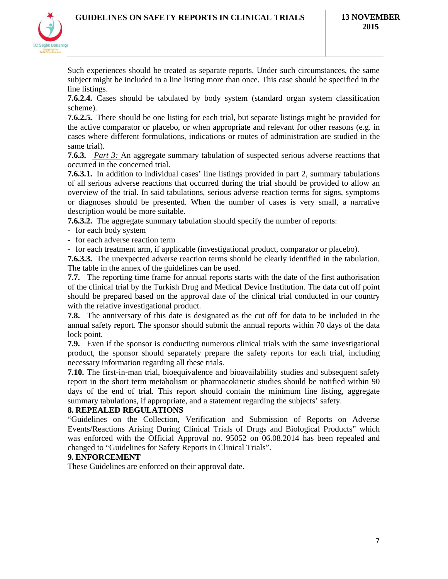

Such experiences should be treated as separate reports. Under such circumstances, the same subject might be included in a line listing more than once. This case should be specified in the line listings.

**7.6.2.4.** Cases should be tabulated by body system (standard organ system classification scheme).

**7.6.2.5.** There should be one listing for each trial, but separate listings might be provided for the active comparator or placebo, or when appropriate and relevant for other reasons (e.g. in cases where different formulations, indications or routes of administration are studied in the same trial).

**7.6.3.** *Part 3:* An aggregate summary tabulation of suspected serious adverse reactions that occurred in the concerned trial.

**7.6.3.1.** In addition to individual cases' line listings provided in part 2, summary tabulations of all serious adverse reactions that occurred during the trial should be provided to allow an overview of the trial. In said tabulations, serious adverse reaction terms for signs, symptoms or diagnoses should be presented. When the number of cases is very small, a narrative description would be more suitable.

**7.6.3.2.** The aggregate summary tabulation should specify the number of reports:

- for each body system

- for each adverse reaction term

- for each treatment arm, if applicable (investigational product, comparator or placebo).

**7.6.3.3.** The unexpected adverse reaction terms should be clearly identified in the tabulation. The table in the annex of the guidelines can be used.

**7.7.** The reporting time frame for annual reports starts with the date of the first authorisation of the clinical trial by the Turkish Drug and Medical Device Institution. The data cut off point should be prepared based on the approval date of the clinical trial conducted in our country with the relative investigational product.

**7.8.** The anniversary of this date is designated as the cut off for data to be included in the annual safety report. The sponsor should submit the annual reports within 70 days of the data lock point.

**7.9.** Even if the sponsor is conducting numerous clinical trials with the same investigational product, the sponsor should separately prepare the safety reports for each trial, including necessary information regarding all these trials.

**7.10.** The first-in-man trial, bioequivalence and bioavailability studies and subsequent safety report in the short term metabolism or pharmacokinetic studies should be notified within 90 days of the end of trial. This report should contain the minimum line listing, aggregate summary tabulations, if appropriate, and a statement regarding the subjects' safety.

#### **8. REPEALED REGULATIONS**

"Guidelines on the Collection, Verification and Submission of Reports on Adverse Events/Reactions Arising During Clinical Trials of Drugs and Biological Products" which was enforced with the Official Approval no. 95052 on 06.08.2014 has been repealed and changed to "Guidelines for Safety Reports in Clinical Trials".

#### **9. ENFORCEMENT**

These Guidelines are enforced on their approval date.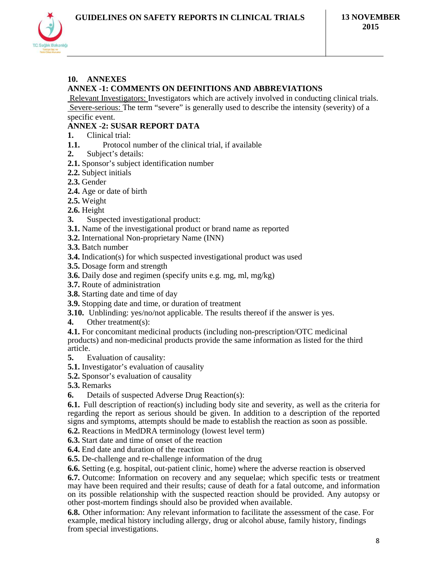

# **10. ANNEXES**

### **ANNEX -1: COMMENTS ON DEFINITIONS AND ABBREVIATIONS**

 Relevant Investigators: Investigators which are actively involved in conducting clinical trials. Severe-serious: The term "severe" is generally used to describe the intensity (severity) of a specific event.

# **ANNEX -2: SUSAR REPORT DATA**

- **1.** Clinical trial:
- **1.1.** Protocol number of the clinical trial, if available
- **2.** Subject's details:
- **2.1.** Sponsor's subject identification number
- **2.2.** Subject initials
- **2.3.** Gender
- **2.4.** Age or date of birth
- **2.5.** Weight
- **2.6.** Height
- **3.** Suspected investigational product:
- **3.1.** Name of the investigational product or brand name as reported
- **3.2.** International Non-proprietary Name (INN)
- **3.3.** Batch number
- **3.4.** Indication(s) for which suspected investigational product was used
- **3.5.** Dosage form and strength
- **3.6.** Daily dose and regimen (specify units e.g. mg, ml, mg/kg)
- **3.7.** Route of administration
- **3.8.** Starting date and time of day
- **3.9.** Stopping date and time, or duration of treatment
- **3.10.** Unblinding: yes/no/not applicable. The results thereof if the answer is yes.
- **4.** Other treatment(s):

**4.1.** For concomitant medicinal products (including non-prescription/OTC medicinal products) and non-medicinal products provide the same information as listed for the third article.

- **5.** Evaluation of causality:
- **5.1.** Investigator's evaluation of causality
- **5.2.** Sponsor's evaluation of causality
- **5.3.** Remarks
- **6.** Details of suspected Adverse Drug Reaction(s):

**6.1.** Full description of reaction(s) including body site and severity, as well as the criteria for regarding the report as serious should be given. In addition to a description of the reported signs and symptoms, attempts should be made to establish the reaction as soon as possible.

- **6.2.** Reactions in MedDRA terminology (lowest level term)
- **6.3.** Start date and time of onset of the reaction
- **6.4.** End date and duration of the reaction
- **6.5.** De-challenge and re-challenge information of the drug
- **6.6.** Setting (e.g. hospital, out-patient clinic, home) where the adverse reaction is observed

**6.7.** Outcome: Information on recovery and any sequelae; which specific tests or treatment may have been required and their results; cause of death for a fatal outcome, and information on its possible relationship with the suspected reaction should be provided. Any autopsy or other post-mortem findings should also be provided when available.

**6.8.** Other information: Any relevant information to facilitate the assessment of the case. For example, medical history including allergy, drug or alcohol abuse, family history, findings from special investigations.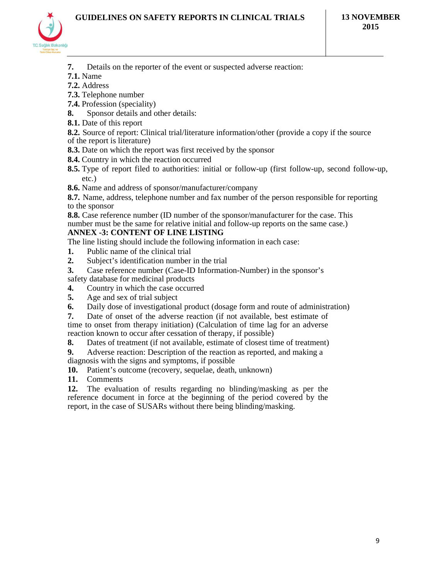

- **7.** Details on the reporter of the event or suspected adverse reaction:
- **7.1.** Name
- **7.2.** Address
- **7.3.** Telephone number
- **7.4.** Profession (speciality)
- **8.** Sponsor details and other details:
- **8.1.** Date of this report
- **8.2.** Source of report: Clinical trial/literature information/other (provide a copy if the source
- of the report is literature)
- **8.3.** Date on which the report was first received by the sponsor
- **8.4.** Country in which the reaction occurred
- **8.5.** Type of report filed to authorities: initial or follow-up (first follow-up, second follow-up, etc.)
- **8.6.** Name and address of sponsor/manufacturer/company

**8.7.** Name, address, telephone number and fax number of the person responsible for reporting to the sponsor

**8.8.** Case reference number (ID number of the sponsor/manufacturer for the case. This number must be the same for relative initial and follow-up reports on the same case.) **ANNEX -3: CONTENT OF LINE LISTING**

The line listing should include the following information in each case:

- **1.** Public name of the clinical trial
- **2.** Subject's identification number in the trial
- **3.** Case reference number (Case-ID Information-Number) in the sponsor's safety database for medicinal products
- **4.** Country in which the case occurred<br>**5.** Age and sex of trial subject
- **5.** Age and sex of trial subject
- **6.** Daily dose of investigational product (dosage form and route of administration)
- **7.** Date of onset of the adverse reaction (if not available, best estimate of time to onset from therapy initiation) (Calculation of time lag for an adverse reaction known to occur after cessation of therapy, if possible)

**8.** Dates of treatment (if not available, estimate of closest time of treatment)

**9.** Adverse reaction: Description of the reaction as reported, and making a diagnosis with the signs and symptoms, if possible

**10.** Patient's outcome (recovery, sequelae, death, unknown)

**11.** Comments

**12.** The evaluation of results regarding no blinding/masking as per the reference document in force at the beginning of the period covered by the report, in the case of SUSARs without there being blinding/masking.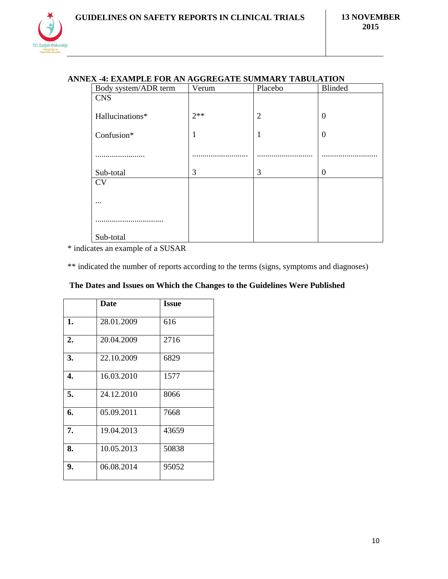# **ANNEX -4: EXAMPLE FOR AN AGGREGATE SUMMARY TABULATION**

| Body system/ADR term | Verum | Placebo        | <b>Blinded</b> |
|----------------------|-------|----------------|----------------|
| <b>CNS</b>           |       |                |                |
|                      |       |                |                |
| Hallucinations*      | $2**$ | $\overline{2}$ | $\mathbf{0}$   |
|                      |       |                |                |
| Confusion*           | 1     | 1              | $\mathbf{0}$   |
|                      |       |                |                |
| .                    |       |                |                |
|                      |       |                |                |
| Sub-total            | 3     | 3              | $\overline{0}$ |
| <b>CV</b>            |       |                |                |
|                      |       |                |                |
| $\cdots$             |       |                |                |
|                      |       |                |                |
|                      |       |                |                |
|                      |       |                |                |
| Sub-total            |       |                |                |

\* indicates an example of a SUSAR

\*\* indicated the number of reports according to the terms (signs, symptoms and diagnoses)

|  |  | The Dates and Issues on Which the Changes to the Guidelines Were Published |
|--|--|----------------------------------------------------------------------------|
|  |  |                                                                            |

|    | <b>Date</b> | <b>Issue</b> |
|----|-------------|--------------|
| 1. | 28.01.2009  | 616          |
| 2. | 20.04.2009  | 2716         |
| 3. | 22.10.2009  | 6829         |
| 4. | 16.03.2010  | 1577         |
| 5. | 24.12.2010  | 8066         |
| 6. | 05.09.2011  | 7668         |
| 7. | 19.04.2013  | 43659        |
| 8. | 10.05.2013  | 50838        |
| 9. | 06.08.2014  | 95052        |